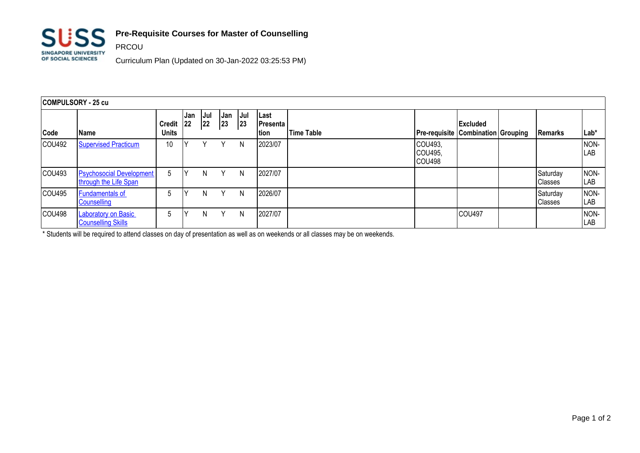

PRCOU

## **Pre-Requisite Courses for Master of Counselling**

Curriculum Plan (Updated on 30-Jan-2022 03:25:53 PM)

| COMPULSORY - 25 cu |                                                          |                        |            |                  |           |            |                           |                   |                              |                                                                  |  |                            |                    |
|--------------------|----------------------------------------------------------|------------------------|------------|------------------|-----------|------------|---------------------------|-------------------|------------------------------|------------------------------------------------------------------|--|----------------------------|--------------------|
| Code               | <b>Name</b>                                              | <b>Credit</b><br>Units | Jan<br> 22 | <b>Jul</b><br>22 | Jan<br>23 | Jul<br> 23 | Last<br>Presenta<br>Ition | <b>Time Table</b> |                              | <b>Excluded</b><br><b>Pre-requisite   Combination   Grouping</b> |  | Remarks                    | Lab*               |
| COU492             | <b>Supervised Practicum</b>                              | 10                     |            |                  | Υ         | N          | 2023/07                   |                   | COU493,<br>COU495,<br>COU498 |                                                                  |  |                            | NON-<br>LAB        |
| COU493             | <b>Psychosocial Development</b><br>through the Life Span | 5                      |            | N                | Y         | N          | 2027/07                   |                   |                              |                                                                  |  | Saturday<br><b>Classes</b> | NON-<br>LAB        |
| COU495             | <b>Fundamentals of</b><br>Counselling                    | 5                      | ιv         | N                | Υ         | N          | 2026/07                   |                   |                              |                                                                  |  | Saturday<br><b>Classes</b> | NON-<br>LAB        |
| COU498             | <b>Laboratory on Basic</b><br><b>Counselling Skills</b>  | 5                      |            | N                | v         | N          | 2027/07                   |                   |                              | <b>COU497</b>                                                    |  |                            | NON-<br><b>LAB</b> |

\* Students will be required to attend classes on day of presentation as well as on weekends or all classes may be on weekends.